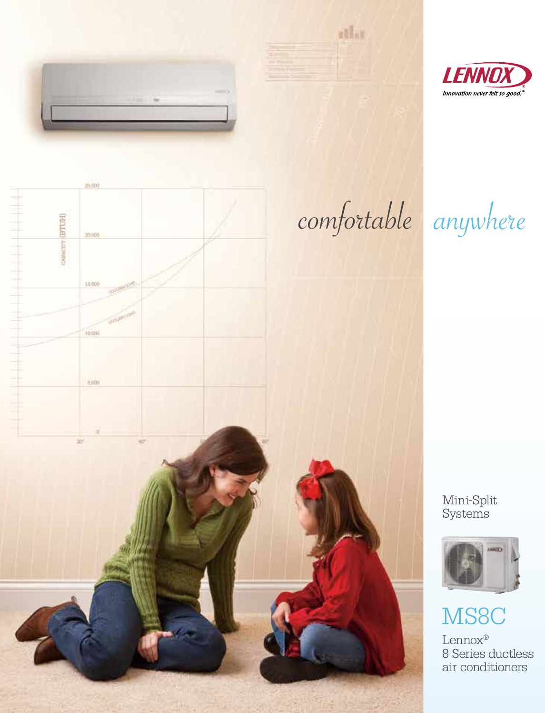



athat.



Mini-Split Systems



# MS8C

Lennox® 8 Series ductless air conditioners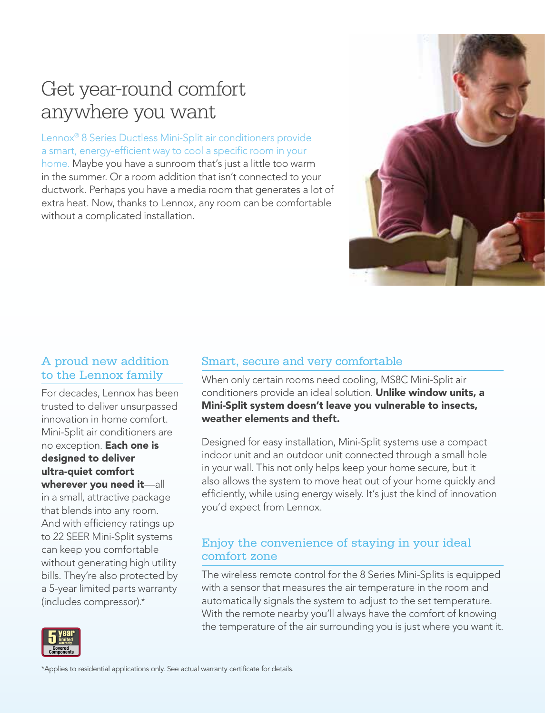## Get year-round comfort anywhere you want

Lennox® 8 Series Ductless Mini-Split air conditioners provide a smart, energy-efficient way to cool a specific room in your home. Maybe you have a sunroom that's just a little too warm in the summer. Or a room addition that isn't connected to your ductwork. Perhaps you have a media room that generates a lot of extra heat. Now, thanks to Lennox, any room can be comfortable without a complicated installation.



### A proud new addition to the Lennox family

For decades, Lennox has been trusted to deliver unsurpassed innovation in home comfort. Mini-Split air conditioners are no exception. Each one is designed to deliver ultra-quiet comfort wherever you need it—all in a small, attractive package that blends into any room. And with efficiency ratings up And with emclency ratings up<br>to 22 SEER Mini-Split systems can keep you comfortable without generating high utility<br>bills. Thoy're also protected by bills. They're also protected by a 5-year limited parts warranty a b-year immed parts w<br>(includes compressor).\*

#### Smart, secure and very comfortable

When only certain rooms need cooling, MS8C Mini-Split air conditioners provide an ideal solution. Unlike window units, a Mini-Split system doesn't leave you vulnerable to insects, weather elements and theft.

Designed for easy installation, Mini-Split systems use a compact indoor unit and an outdoor unit connected through a small hole in your wall. This not only helps keep your home secure, but it also allows the system to move heat out of your home quickly and efficiently, while using energy wisely. It's just the kind of innovation you'd expect from Lennox.

#### Enjoy the convenience of staying in your ideal comfort zone

The wireless remote control for the 8 Series Mini-Splits is equipped with a sensor that measures the air temperature in the room and automatically signals the system to adjust to the set temperature. With the remote nearby you'll always have the comfort of knowing the temperature of the air surrounding you is just where you want it.



 $\star$ Applies to residential applications only. See actual warranty certificate for details.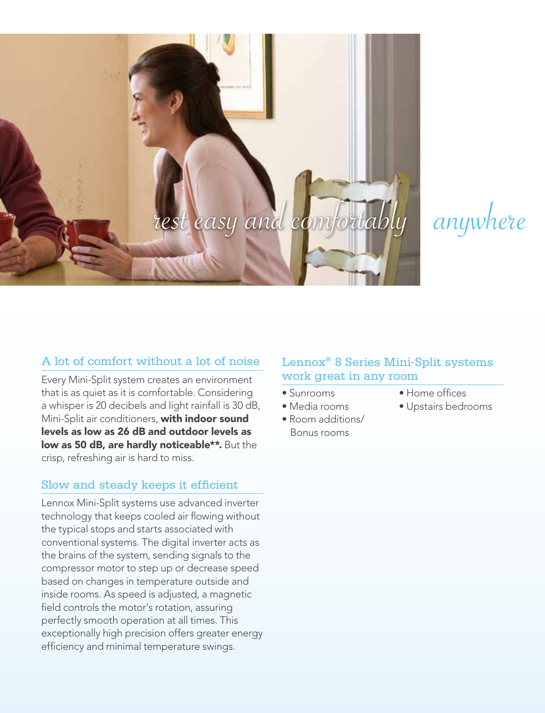

anywhere

#### A lot of comfort without a lot of noise

Every Mini-Split system creates an environment that is as quiet as it is comfortable. Considering a whisper is 20 decibels and light rainfall is 30 dB, Mini-Split air conditioners, with indoor sound levels as low as 26 dB and outdoor levels as low as 50 dB, are hardly noticeable\*\*. But the crisp, refreshing air is hard to miss.

#### Slow and steady keeps it efficient

Lennox Mini-Split systems use advanced inverter technology that keeps cooled air flowing without the typical stops and starts associated with conventional systems. The digital inverter acts as the brains of the system, sending signals to the compressor motor to step up or decrease speed based on changes in temperature outside and inside rooms. As speed is adjusted, a magnetic field controls the motor's rotation, assuring perfectly smooth operation at all times. This exceptionally high precision offers greater energy efficiency and minimal temperature swings.

#### Lennox® 8 Series Mini-Split systems work great in any room

- Sunrooms
- Media rooms
- Room additions/ Bonus rooms
- Home offices
- Upstairs bedrooms